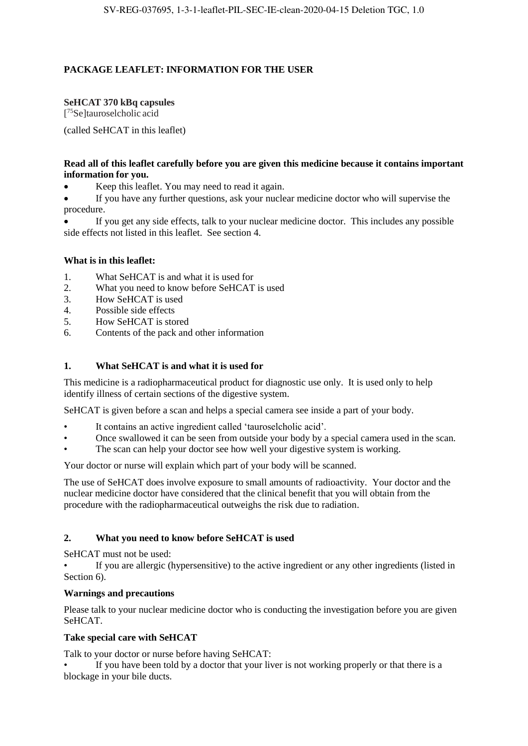# **PACKAGE LEAFLET: INFORMATION FOR THE USER**

## **SeHCAT 370 kBq capsules**

[ <sup>75</sup>Se]tauroselcholic acid

(called SeHCAT in this leaflet)

## **Read all of this leaflet carefully before you are given this medicine because it contains important information for you.**

Keep this leaflet. You may need to read it again.

 If you have any further questions, ask your nuclear medicine doctor who will supervise the procedure.

 If you get any side effects, talk to your nuclear medicine doctor. This includes any possible side effects not listed in this leaflet. See section 4.

## **What is in this leaflet:**

- 1. What SeHCAT is and what it is used for
- 2. What you need to know before SeHCAT is used
- 3. How SeHCAT is used
- 4. Possible side effects
- 5. How SeHCAT is stored
- 6. Contents of the pack and other information

## **1. What SeHCAT is and what it is used for**

This medicine is a radiopharmaceutical product for diagnostic use only. It is used only to help identify illness of certain sections of the digestive system.

SeHCAT is given before a scan and helps a special camera see inside a part of your body.

- It contains an active ingredient called 'tauroselcholic acid'.
- Once swallowed it can be seen from outside your body by a special camera used in the scan.
- The scan can help your doctor see how well your digestive system is working.

Your doctor or nurse will explain which part of your body will be scanned.

The use of SeHCAT does involve exposure to small amounts of radioactivity. Your doctor and the nuclear medicine doctor have considered that the clinical benefit that you will obtain from the procedure with the radiopharmaceutical outweighs the risk due to radiation.

## **2. What you need to know before SeHCAT is used**

SeHCAT must not be used:

If you are allergic (hypersensitive) to the active ingredient or any other ingredients (listed in Section 6).

### **Warnings and precautions**

Please talk to your nuclear medicine doctor who is conducting the investigation before you are given SeHCAT.

## **Take special care with SeHCAT**

Talk to your doctor or nurse before having SeHCAT:

If you have been told by a doctor that your liver is not working properly or that there is a blockage in your bile ducts.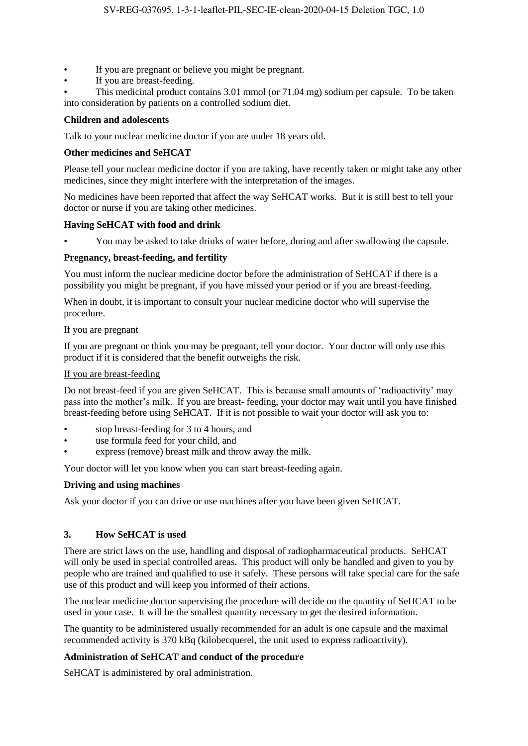- If you are pregnant or believe you might be pregnant.
- If you are breast-feeding.
- This medicinal product contains 3.01 mmol (or 71.04 mg) sodium per capsule. To be taken into consideration by patients on a controlled sodium diet.

### **Children and adolescents**

Talk to your nuclear medicine doctor if you are under 18 years old.

### **Other medicines and SeHCAT**

Please tell your nuclear medicine doctor if you are taking, have recently taken or might take any other medicines, since they might interfere with the interpretation of the images.

No medicines have been reported that affect the way SeHCAT works. But it is still best to tell your doctor or nurse if you are taking other medicines.

#### **Having SeHCAT with food and drink**

• You may be asked to take drinks of water before, during and after swallowing the capsule.

#### **Pregnancy, breast-feeding, and fertility**

You must inform the nuclear medicine doctor before the administration of SeHCAT if there is a possibility you might be pregnant, if you have missed your period or if you are breast-feeding.

When in doubt, it is important to consult your nuclear medicine doctor who will supervise the procedure.

#### If you are pregnant

If you are pregnant or think you may be pregnant, tell your doctor. Your doctor will only use this product if it is considered that the benefit outweighs the risk.

#### If you are breast-feeding

Do not breast-feed if you are given SeHCAT. This is because small amounts of 'radioactivity' may pass into the mother's milk. If you are breast- feeding, your doctor may wait until you have finished breast-feeding before using SeHCAT. If it is not possible to wait your doctor will ask you to:

- stop breast-feeding for 3 to 4 hours, and
- use formula feed for your child, and
- express (remove) breast milk and throw away the milk.

Your doctor will let you know when you can start breast-feeding again.

### **Driving and using machines**

Ask your doctor if you can drive or use machines after you have been given SeHCAT.

### **3. How SeHCAT is used**

There are strict laws on the use, handling and disposal of radiopharmaceutical products. SeHCAT will only be used in special controlled areas. This product will only be handled and given to you by people who are trained and qualified to use it safely. These persons will take special care for the safe use of this product and will keep you informed of their actions.

The nuclear medicine doctor supervising the procedure will decide on the quantity of SeHCAT to be used in your case. It will be the smallest quantity necessary to get the desired information.

The quantity to be administered usually recommended for an adult is one capsule and the maximal recommended activity is 370 kBq (kilobecquerel, the unit used to express radioactivity).

### **Administration of SeHCAT and conduct of the procedure**

SeHCAT is administered by oral administration.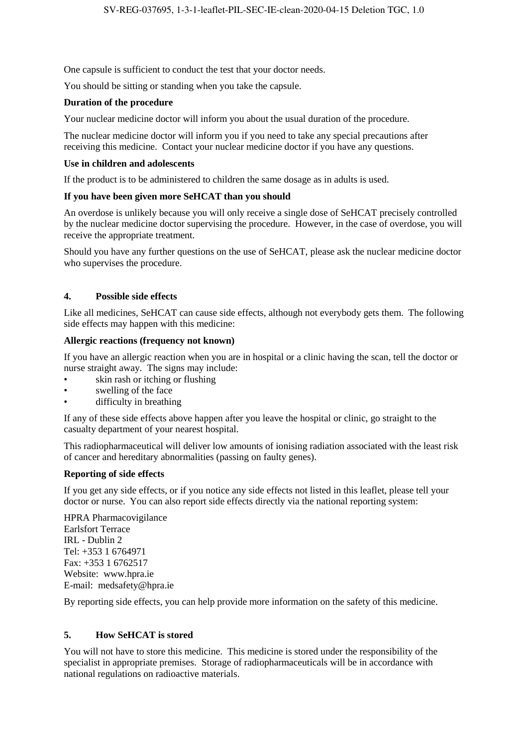One capsule is sufficient to conduct the test that your doctor needs.

You should be sitting or standing when you take the capsule.

### **Duration of the procedure**

Your nuclear medicine doctor will inform you about the usual duration of the procedure.

The nuclear medicine doctor will inform you if you need to take any special precautions after receiving this medicine. Contact your nuclear medicine doctor if you have any questions.

#### **Use in children and adolescents**

If the product is to be administered to children the same dosage as in adults is used.

#### **If you have been given more SeHCAT than you should**

An overdose is unlikely because you will only receive a single dose of SeHCAT precisely controlled by the nuclear medicine doctor supervising the procedure. However, in the case of overdose, you will receive the appropriate treatment.

Should you have any further questions on the use of SeHCAT, please ask the nuclear medicine doctor who supervises the procedure.

### **4. Possible side effects**

Like all medicines, SeHCAT can cause side effects, although not everybody gets them. The following side effects may happen with this medicine:

#### **Allergic reactions (frequency not known)**

If you have an allergic reaction when you are in hospital or a clinic having the scan, tell the doctor or nurse straight away. The signs may include:

- skin rash or itching or flushing
- swelling of the face
- difficulty in breathing

If any of these side effects above happen after you leave the hospital or clinic, go straight to the casualty department of your nearest hospital.

This radiopharmaceutical will deliver low amounts of ionising radiation associated with the least risk of cancer and hereditary abnormalities (passing on faulty genes).

#### **Reporting of side effects**

If you get any side effects, or if you notice any side effects not listed in this leaflet, please tell your doctor or nurse. You can also report side effects directly via the national reporting system:

HPRA Pharmacovigilance Earlsfort Terrace IRL - Dublin 2 Tel: +353 1 6764971 Fax: +353 1 6762517 Website: www.hpra.ie E-mail: medsafety@hpra.ie

By reporting side effects, you can help provide more information on the safety of this medicine.

### **5. How SeHCAT is stored**

You will not have to store this medicine. This medicine is stored under the responsibility of the specialist in appropriate premises. Storage of radiopharmaceuticals will be in accordance with national regulations on radioactive materials.